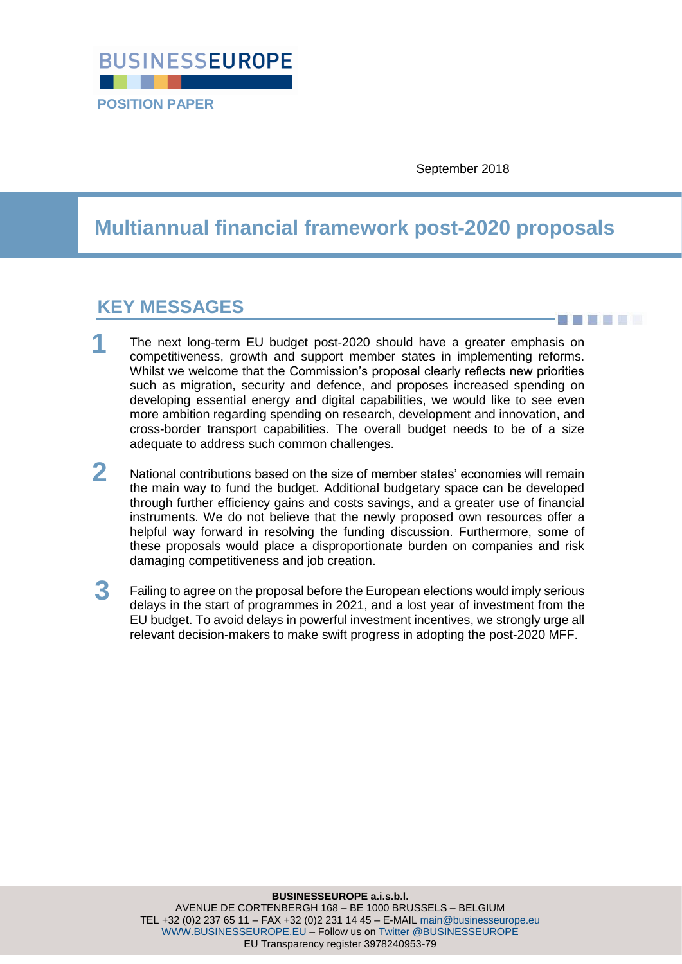

September 2018

# **Multiannual financial framework post-2020 proposals**

## **KEY MESSAGES**

<u>a matana a</u>

- The next long-term EU budget post-2020 should have a greater emphasis on competitiveness, growth and support member states in implementing reforms. Whilst we welcome that the Commission's proposal clearly reflects new priorities such as migration, security and defence, and proposes increased spending on developing essential energy and digital capabilities, we would like to see even more ambition regarding spending on research, development and innovation, and cross-border transport capabilities. The overall budget needs to be of a size adequate to address such common challenges. **1**
- National contributions based on the size of member states' economies will remain the main way to fund the budget. Additional budgetary space can be developed through further efficiency gains and costs savings, and a greater use of financial instruments. We do not believe that the newly proposed own resources offer a helpful way forward in resolving the funding discussion. Furthermore, some of these proposals would place a disproportionate burden on companies and risk damaging competitiveness and job creation. **2**
- Failing to agree on the proposal before the European elections would imply serious delays in the start of programmes in 2021, and a lost year of investment from the EU budget. To avoid delays in powerful investment incentives, we strongly urge all relevant decision-makers to make swift progress in adopting the post-2020 MFF. **3**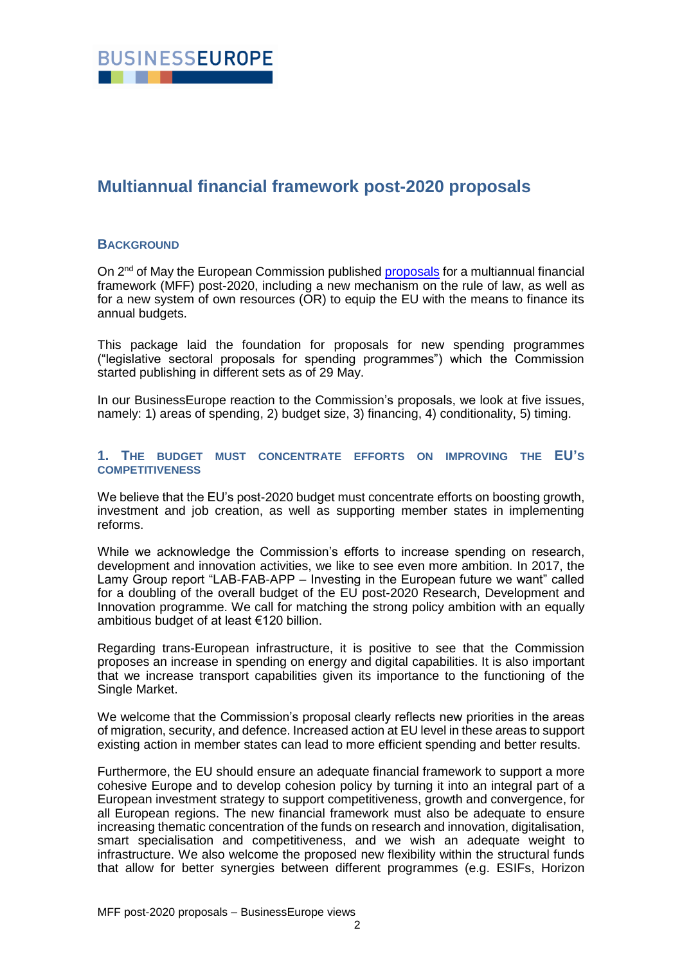

### **Multiannual financial framework post-2020 proposals**

#### **BACKGROUND**

On 2<sup>nd</sup> of May the European Commission published [proposals](https://ec.europa.eu/commission/publications/factsheets-long-term-budget-proposals_en) for a multiannual financial framework (MFF) post-2020, including a new mechanism on the rule of law, as well as for a new system of own resources (OR) to equip the EU with the means to finance its annual budgets.

This package laid the foundation for proposals for new spending programmes ("legislative sectoral proposals for spending programmes") which the Commission started publishing in different sets as of 29 May.

In our BusinessEurope reaction to the Commission's proposals, we look at five issues, namely: 1) areas of spending, 2) budget size, 3) financing, 4) conditionality, 5) timing.

#### **1. THE BUDGET MUST CONCENTRATE EFFORTS ON IMPROVING THE EU'S COMPETITIVENESS**

We believe that the EU's post-2020 budget must concentrate efforts on boosting growth, investment and job creation, as well as supporting member states in implementing reforms.

While we acknowledge the Commission's efforts to increase spending on research, development and innovation activities, we like to see even more ambition. In 2017, the Lamy Group report "LAB-FAB-APP – Investing in the European future we want" called for a doubling of the overall budget of the EU post-2020 Research, Development and Innovation programme. We call for matching the strong policy ambition with an equally ambitious budget of at least €120 billion.

Regarding trans-European infrastructure, it is positive to see that the Commission proposes an increase in spending on energy and digital capabilities. It is also important that we increase transport capabilities given its importance to the functioning of the Single Market.

We welcome that the Commission's proposal clearly reflects new priorities in the areas of migration, security, and defence. Increased action at EU level in these areas to support existing action in member states can lead to more efficient spending and better results.

Furthermore, the EU should ensure an adequate financial framework to support a more cohesive Europe and to develop cohesion policy by turning it into an integral part of a European investment strategy to support competitiveness, growth and convergence, for all European regions. The new financial framework must also be adequate to ensure increasing thematic concentration of the funds on research and innovation, digitalisation, smart specialisation and competitiveness, and we wish an adequate weight to infrastructure. We also welcome the proposed new flexibility within the structural funds that allow for better synergies between different programmes (e.g. ESIFs, Horizon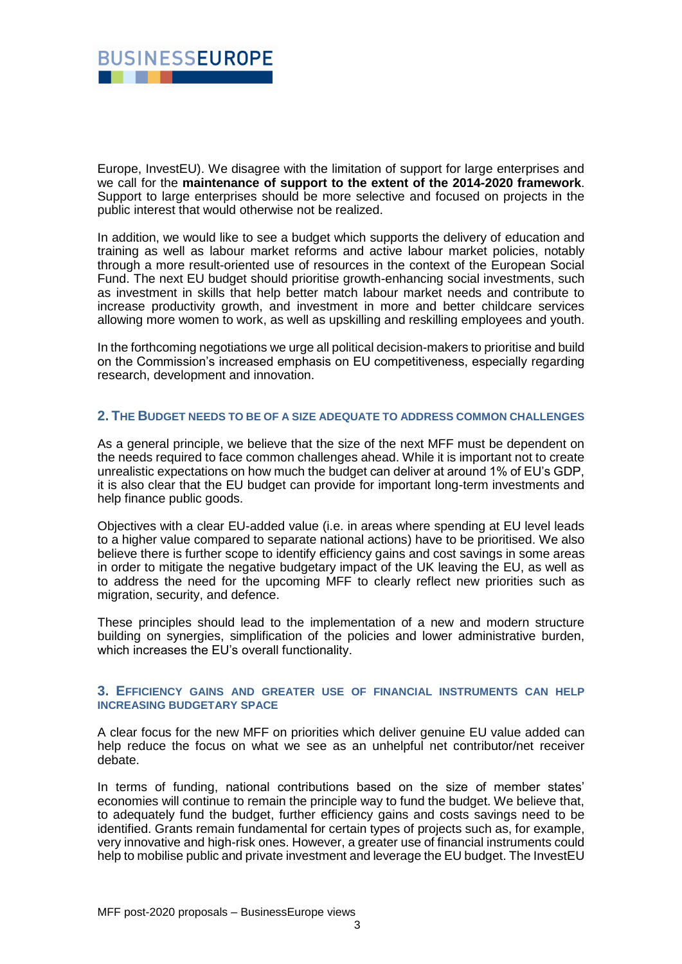

Europe, InvestEU). We disagree with the limitation of support for large enterprises and we call for the **maintenance of support to the extent of the 2014-2020 framework**. Support to large enterprises should be more selective and focused on projects in the public interest that would otherwise not be realized.

In addition, we would like to see a budget which supports the delivery of education and training as well as labour market reforms and active labour market policies, notably through a more result-oriented use of resources in the context of the European Social Fund. The next EU budget should prioritise growth-enhancing social investments, such as investment in skills that help better match labour market needs and contribute to increase productivity growth, and investment in more and better childcare services allowing more women to work, as well as upskilling and reskilling employees and youth.

In the forthcoming negotiations we urge all political decision-makers to prioritise and build on the Commission's increased emphasis on EU competitiveness, especially regarding research, development and innovation.

#### **2. THE BUDGET NEEDS TO BE OF A SIZE ADEQUATE TO ADDRESS COMMON CHALLENGES**

As a general principle, we believe that the size of the next MFF must be dependent on the needs required to face common challenges ahead. While it is important not to create unrealistic expectations on how much the budget can deliver at around 1% of EU's GDP, it is also clear that the EU budget can provide for important long-term investments and help finance public goods.

Objectives with a clear EU-added value (i.e. in areas where spending at EU level leads to a higher value compared to separate national actions) have to be prioritised. We also believe there is further scope to identify efficiency gains and cost savings in some areas in order to mitigate the negative budgetary impact of the UK leaving the EU, as well as to address the need for the upcoming MFF to clearly reflect new priorities such as migration, security, and defence.

These principles should lead to the implementation of a new and modern structure building on synergies, simplification of the policies and lower administrative burden, which increases the EU's overall functionality.

#### **3. EFFICIENCY GAINS AND GREATER USE OF FINANCIAL INSTRUMENTS CAN HELP INCREASING BUDGETARY SPACE**

A clear focus for the new MFF on priorities which deliver genuine EU value added can help reduce the focus on what we see as an unhelpful net contributor/net receiver debate.

In terms of funding, national contributions based on the size of member states' economies will continue to remain the principle way to fund the budget. We believe that, to adequately fund the budget, further efficiency gains and costs savings need to be identified. Grants remain fundamental for certain types of projects such as, for example, very innovative and high-risk ones. However, a greater use of financial instruments could help to mobilise public and private investment and leverage the EU budget. The InvestEU